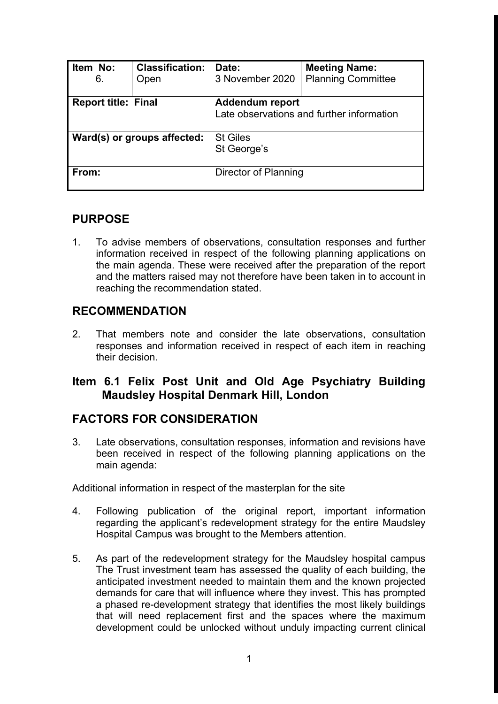| Item No:<br>6.              | <b>Classification:</b><br>Open | Date:<br>3 November 2020                                            | <b>Meeting Name:</b><br><b>Planning Committee</b> |
|-----------------------------|--------------------------------|---------------------------------------------------------------------|---------------------------------------------------|
| <b>Report title: Final</b>  |                                | <b>Addendum report</b><br>Late observations and further information |                                                   |
| Ward(s) or groups affected: |                                | <b>St Giles</b><br>St George's                                      |                                                   |
| From:                       |                                | Director of Planning                                                |                                                   |

## **PURPOSE**

1. To advise members of observations, consultation responses and further information received in respect of the following planning applications on the main agenda. These were received after the preparation of the report and the matters raised may not therefore have been taken in to account in reaching the recommendation stated.

## **RECOMMENDATION**

2. That members note and consider the late observations, consultation responses and information received in respect of each item in reaching their decision.

## **Item 6.1 Felix Post Unit and Old Age Psychiatry Building Maudsley Hospital Denmark Hill, London**

## **FACTORS FOR CONSIDERATION**

3. Late observations, consultation responses, information and revisions have been received in respect of the following planning applications on the main agenda:

### Additional information in respect of the masterplan for the site

- 4. Following publication of the original report, important information regarding the applicant's redevelopment strategy for the entire Maudsley Hospital Campus was brought to the Members attention.
- 5. As part of the redevelopment strategy for the Maudsley hospital campus The Trust investment team has assessed the quality of each building, the anticipated investment needed to maintain them and the known projected demands for care that will influence where they invest. This has prompted a phased re-development strategy that identifies the most likely buildings that will need replacement first and the spaces where the maximum development could be unlocked without unduly impacting current clinical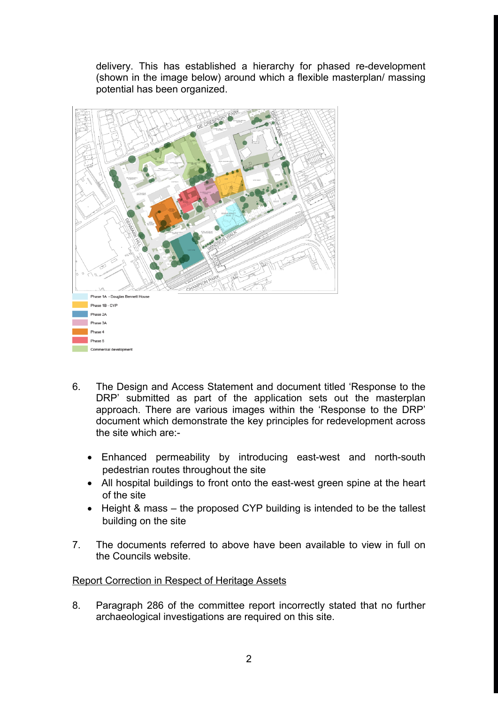delivery. This has established a hierarchy for phased re-development (shown in the image below) around which a flexible masterplan/ massing potential has been organized.



- 6. The Design and Access Statement and document titled 'Response to the DRP' submitted as part of the application sets out the masterplan approach. There are various images within the 'Response to the DRP' document which demonstrate the key principles for redevelopment across the site which are:-
	- Enhanced permeability by introducing east-west and north-south pedestrian routes throughout the site
	- All hospital buildings to front onto the east-west green spine at the heart of the site
	- Height & mass the proposed CYP building is intended to be the tallest building on the site
- 7. The documents referred to above have been available to view in full on the Councils website.

### Report Correction in Respect of Heritage Assets

8. Paragraph 286 of the committee report incorrectly stated that no further archaeological investigations are required on this site.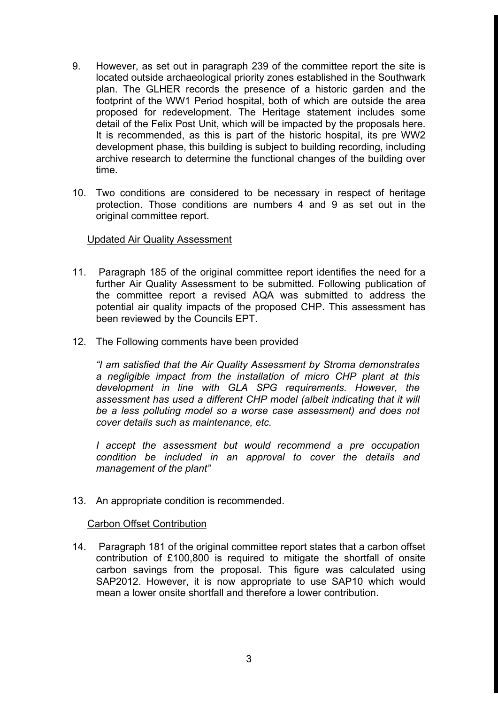- 9. However, as set out in paragraph 239 of the committee report the site is located outside archaeological priority zones established in the Southwark plan. The GLHER records the presence of a historic garden and the footprint of the WW1 Period hospital, both of which are outside the area proposed for redevelopment. The Heritage statement includes some detail of the Felix Post Unit, which will be impacted by the proposals here. It is recommended, as this is part of the historic hospital, its pre WW2 development phase, this building is subject to building recording, including archive research to determine the functional changes of the building over time.
- 10. Two conditions are considered to be necessary in respect of heritage protection. Those conditions are numbers 4 and 9 as set out in the original committee report.

### Updated Air Quality Assessment

- 11. Paragraph 185 of the original committee report identifies the need for a further Air Quality Assessment to be submitted. Following publication of the committee report a revised AQA was submitted to address the potential air quality impacts of the proposed CHP. This assessment has been reviewed by the Councils EPT.
- 12. The Following comments have been provided

*"I am satisfied that the Air Quality Assessment by Stroma demonstrates a negligible impact from the installation of micro CHP plant at this development in line with GLA SPG requirements. However, the assessment has used a different CHP model (albeit indicating that it will be a less polluting model so a worse case assessment) and does not cover details such as maintenance, etc.*

*I accept the assessment but would recommend a pre occupation condition be included in an approval to cover the details and management of the plant"*

13. An appropriate condition is recommended.

#### Carbon Offset Contribution

14. Paragraph 181 of the original committee report states that a carbon offset contribution of £100,800 is required to mitigate the shortfall of onsite carbon savings from the proposal. This figure was calculated using SAP2012. However, it is now appropriate to use SAP10 which would mean a lower onsite shortfall and therefore a lower contribution.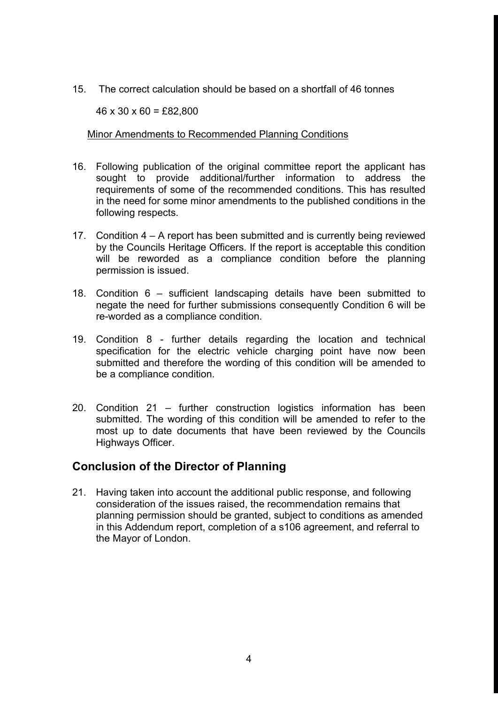15. The correct calculation should be based on a shortfall of 46 tonnes

 $46 \times 30 \times 60 = \text{\pounds}82,800$ 

### Minor Amendments to Recommended Planning Conditions

- 16. Following publication of the original committee report the applicant has sought to provide additional/further information to address the requirements of some of the recommended conditions. This has resulted in the need for some minor amendments to the published conditions in the following respects.
- 17. Condition 4 A report has been submitted and is currently being reviewed by the Councils Heritage Officers. If the report is acceptable this condition will be reworded as a compliance condition before the planning permission is issued.
- 18. Condition 6 sufficient landscaping details have been submitted to negate the need for further submissions consequently Condition 6 will be re-worded as a compliance condition.
- 19. Condition 8 further details regarding the location and technical specification for the electric vehicle charging point have now been submitted and therefore the wording of this condition will be amended to be a compliance condition.
- 20. Condition 21 further construction logistics information has been submitted. The wording of this condition will be amended to refer to the most up to date documents that have been reviewed by the Councils Highways Officer.

## **Conclusion of the Director of Planning**

21. Having taken into account the additional public response, and following consideration of the issues raised, the recommendation remains that planning permission should be granted, subject to conditions as amended in this Addendum report, completion of a s106 agreement, and referral to the Mayor of London.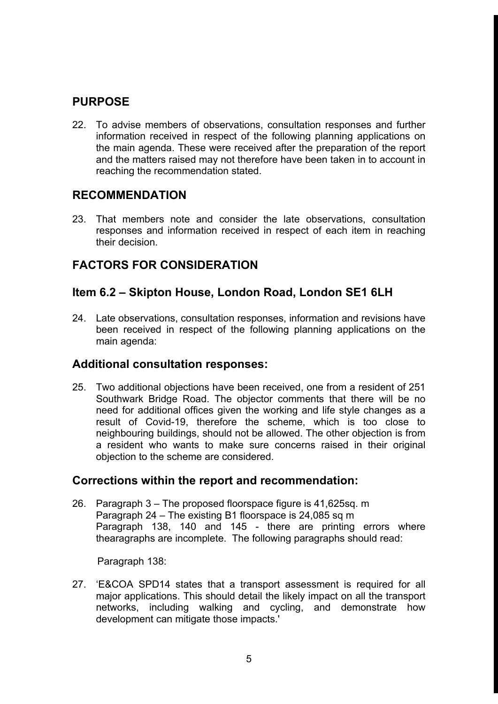## **PURPOSE**

22. To advise members of observations, consultation responses and further information received in respect of the following planning applications on the main agenda. These were received after the preparation of the report and the matters raised may not therefore have been taken in to account in reaching the recommendation stated.

## **RECOMMENDATION**

23. That members note and consider the late observations, consultation responses and information received in respect of each item in reaching their decision.

## **FACTORS FOR CONSIDERATION**

## **Item 6.2 – Skipton House, London Road, London SE1 6LH**

24. Late observations, consultation responses, information and revisions have been received in respect of the following planning applications on the main agenda:

## **Additional consultation responses:**

25. Two additional objections have been received, one from a resident of 251 Southwark Bridge Road. The objector comments that there will be no need for additional offices given the working and life style changes as a result of Covid-19, therefore the scheme, which is too close to neighbouring buildings, should not be allowed. The other objection is from a resident who wants to make sure concerns raised in their original objection to the scheme are considered.

## **Corrections within the report and recommendation:**

26. Paragraph 3 – The proposed floorspace figure is 41,625sq. m Paragraph 24 – The existing B1 floorspace is 24,085 sq m Paragraph 138, 140 and 145 - there are printing errors where thearagraphs are incomplete. The following paragraphs should read:

Paragraph 138:

27. 'E&COA SPD14 states that a transport assessment is required for all major applications. This should detail the likely impact on all the transport networks, including walking and cycling, and demonstrate how development can mitigate those impacts.'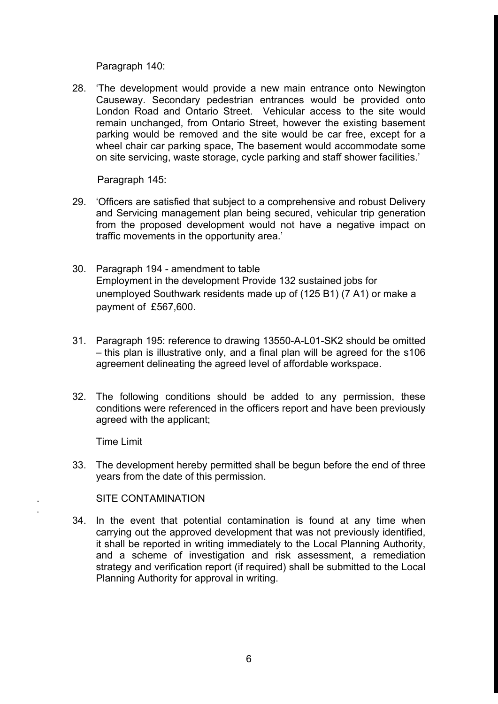Paragraph 140:

28. 'The development would provide a new main entrance onto Newington Causeway. Secondary pedestrian entrances would be provided onto London Road and Ontario Street. Vehicular access to the site would remain unchanged, from Ontario Street, however the existing basement parking would be removed and the site would be car free, except for a wheel chair car parking space, The basement would accommodate some on site servicing, waste storage, cycle parking and staff shower facilities.'

Paragraph 145:

- 29. 'Officers are satisfied that subject to a comprehensive and robust Delivery and Servicing management plan being secured, vehicular trip generation from the proposed development would not have a negative impact on traffic movements in the opportunity area.'
- 30. Paragraph 194 amendment to table Employment in the development Provide 132 sustained jobs for unemployed Southwark residents made up of (125 B1) (7 A1) or make a payment of £567,600.
- 31. Paragraph 195: reference to drawing 13550-A-L01-SK2 should be omitted – this plan is illustrative only, and a final plan will be agreed for the s106 agreement delineating the agreed level of affordable workspace.
- 32. The following conditions should be added to any permission, these conditions were referenced in the officers report and have been previously agreed with the applicant;

Time Limit

.

33. The development hereby permitted shall be begun before the end of three years from the date of this permission.

SITE CONTAMINATION

34. In the event that potential contamination is found at any time when carrying out the approved development that was not previously identified, it shall be reported in writing immediately to the Local Planning Authority, and a scheme of investigation and risk assessment, a remediation strategy and verification report (if required) shall be submitted to the Local Planning Authority for approval in writing.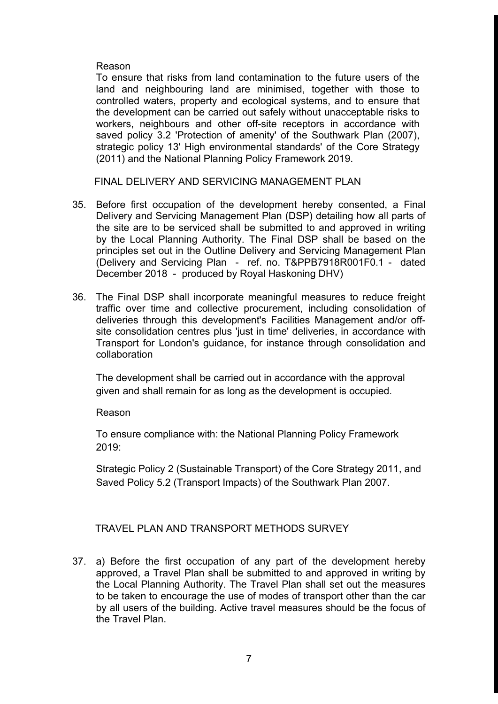### Reason

To ensure that risks from land contamination to the future users of the land and neighbouring land are minimised, together with those to controlled waters, property and ecological systems, and to ensure that the development can be carried out safely without unacceptable risks to workers, neighbours and other off-site receptors in accordance with saved policy 3.2 'Protection of amenity' of the Southwark Plan (2007), strategic policy 13' High environmental standards' of the Core Strategy (2011) and the National Planning Policy Framework 2019.

FINAL DELIVERY AND SERVICING MANAGEMENT PLAN

- 35. Before first occupation of the development hereby consented, a Final Delivery and Servicing Management Plan (DSP) detailing how all parts of the site are to be serviced shall be submitted to and approved in writing by the Local Planning Authority. The Final DSP shall be based on the principles set out in the Outline Delivery and Servicing Management Plan (Delivery and Servicing Plan - ref. no. T&PPB7918R001F0.1 - dated December 2018 - produced by Royal Haskoning DHV)
- 36. The Final DSP shall incorporate meaningful measures to reduce freight traffic over time and collective procurement, including consolidation of deliveries through this development's Facilities Management and/or offsite consolidation centres plus 'just in time' deliveries, in accordance with Transport for London's guidance, for instance through consolidation and collaboration

The development shall be carried out in accordance with the approval given and shall remain for as long as the development is occupied.

### Reason

To ensure compliance with: the National Planning Policy Framework 2019:

Strategic Policy 2 (Sustainable Transport) of the Core Strategy 2011, and Saved Policy 5.2 (Transport Impacts) of the Southwark Plan 2007.

### TRAVEL PLAN AND TRANSPORT METHODS SURVEY

37. a) Before the first occupation of any part of the development hereby approved, a Travel Plan shall be submitted to and approved in writing by the Local Planning Authority. The Travel Plan shall set out the measures to be taken to encourage the use of modes of transport other than the car by all users of the building. Active travel measures should be the focus of the Travel Plan.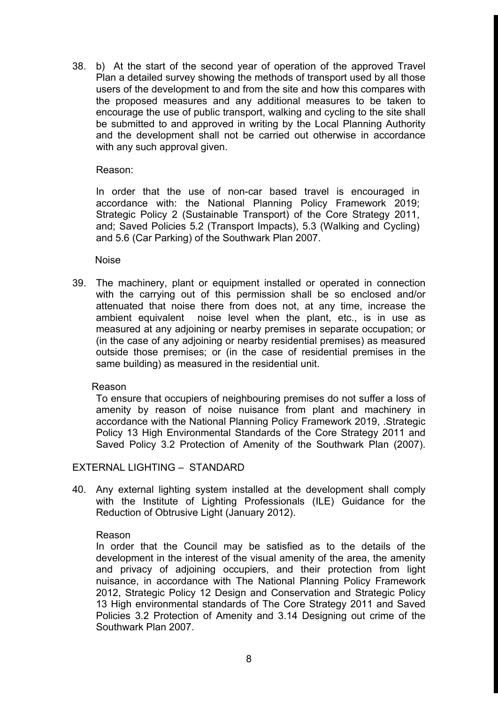38. b) At the start of the second year of operation of the approved Travel Plan a detailed survey showing the methods of transport used by all those users of the development to and from the site and how this compares with the proposed measures and any additional measures to be taken to encourage the use of public transport, walking and cycling to the site shall be submitted to and approved in writing by the Local Planning Authority and the development shall not be carried out otherwise in accordance with any such approval given.

Reason:

In order that the use of non-car based travel is encouraged in accordance with: the National Planning Policy Framework 2019; Strategic Policy 2 (Sustainable Transport) of the Core Strategy 2011, and; Saved Policies 5.2 (Transport Impacts), 5.3 (Walking and Cycling) and 5.6 (Car Parking) of the Southwark Plan 2007.

Noise

39. The machinery, plant or equipment installed or operated in connection with the carrying out of this permission shall be so enclosed and/or attenuated that noise there from does not, at any time, increase the ambient equivalent noise level when the plant, etc., is in use as measured at any adjoining or nearby premises in separate occupation; or (in the case of any adjoining or nearby residential premises) as measured outside those premises; or (in the case of residential premises in the same building) as measured in the residential unit.

Reason

To ensure that occupiers of neighbouring premises do not suffer a loss of amenity by reason of noise nuisance from plant and machinery in accordance with the National Planning Policy Framework 2019, .Strategic Policy 13 High Environmental Standards of the Core Strategy 2011 and Saved Policy 3.2 Protection of Amenity of the Southwark Plan (2007).

EXTERNAL LIGHTING – STANDARD

40. Any external lighting system installed at the development shall comply with the Institute of Lighting Professionals (ILE) Guidance for the Reduction of Obtrusive Light (January 2012).

### Reason

In order that the Council may be satisfied as to the details of the development in the interest of the visual amenity of the area, the amenity and privacy of adjoining occupiers, and their protection from light nuisance, in accordance with The National Planning Policy Framework 2012, Strategic Policy 12 Design and Conservation and Strategic Policy 13 High environmental standards of The Core Strategy 2011 and Saved Policies 3.2 Protection of Amenity and 3.14 Designing out crime of the Southwark Plan 2007.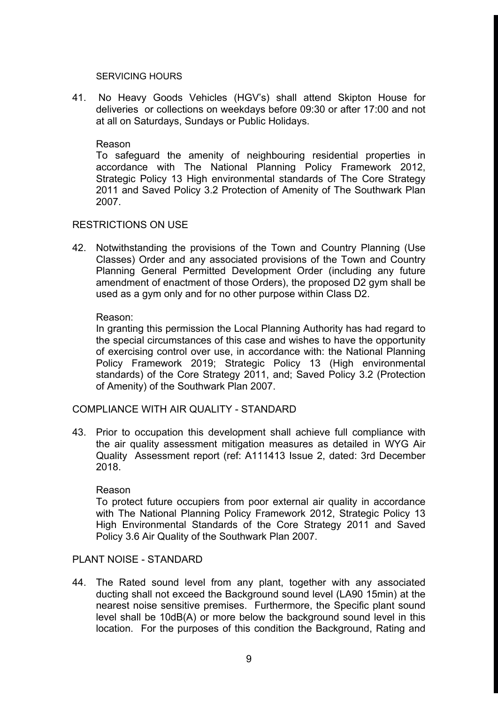#### SERVICING HOURS

41. No Heavy Goods Vehicles (HGV's) shall attend Skipton House for deliveries or collections on weekdays before 09:30 or after 17:00 and not at all on Saturdays, Sundays or Public Holidays.

#### Reason

To safeguard the amenity of neighbouring residential properties in accordance with The National Planning Policy Framework 2012, Strategic Policy 13 High environmental standards of The Core Strategy 2011 and Saved Policy 3.2 Protection of Amenity of The Southwark Plan 2007.

### RESTRICTIONS ON USE

42. Notwithstanding the provisions of the Town and Country Planning (Use Classes) Order and any associated provisions of the Town and Country Planning General Permitted Development Order (including any future amendment of enactment of those Orders), the proposed D2 gym shall be used as a gym only and for no other purpose within Class D2.

### Reason:

In granting this permission the Local Planning Authority has had regard to the special circumstances of this case and wishes to have the opportunity of exercising control over use, in accordance with: the National Planning Policy Framework 2019; Strategic Policy 13 (High environmental standards) of the Core Strategy 2011, and; Saved Policy 3.2 (Protection of Amenity) of the Southwark Plan 2007.

### COMPLIANCE WITH AIR QUALITY - STANDARD

43. Prior to occupation this development shall achieve full compliance with the air quality assessment mitigation measures as detailed in WYG Air Quality Assessment report (ref: A111413 Issue 2, dated: 3rd December 2018.

#### Reason

To protect future occupiers from poor external air quality in accordance with The National Planning Policy Framework 2012, Strategic Policy 13 High Environmental Standards of the Core Strategy 2011 and Saved Policy 3.6 Air Quality of the Southwark Plan 2007.

### PLANT NOISE - STANDARD

44. The Rated sound level from any plant, together with any associated ducting shall not exceed the Background sound level (LA90 15min) at the nearest noise sensitive premises. Furthermore, the Specific plant sound level shall be 10dB(A) or more below the background sound level in this location. For the purposes of this condition the Background, Rating and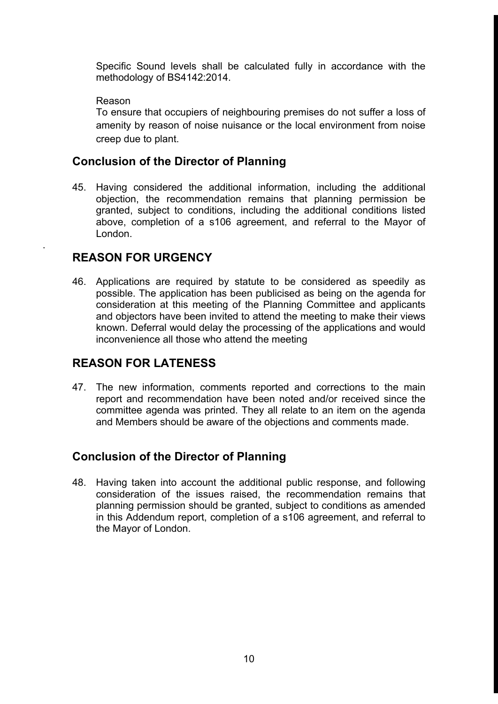Specific Sound levels shall be calculated fully in accordance with the methodology of BS4142:2014.

### Reason

.

To ensure that occupiers of neighbouring premises do not suffer a loss of amenity by reason of noise nuisance or the local environment from noise creep due to plant.

## **Conclusion of the Director of Planning**

45. Having considered the additional information, including the additional objection, the recommendation remains that planning permission be granted, subject to conditions, including the additional conditions listed above, completion of a s106 agreement, and referral to the Mayor of London.

## **REASON FOR URGENCY**

46. Applications are required by statute to be considered as speedily as possible. The application has been publicised as being on the agenda for consideration at this meeting of the Planning Committee and applicants and objectors have been invited to attend the meeting to make their views known. Deferral would delay the processing of the applications and would inconvenience all those who attend the meeting

## **REASON FOR LATENESS**

47. The new information, comments reported and corrections to the main report and recommendation have been noted and/or received since the committee agenda was printed. They all relate to an item on the agenda and Members should be aware of the objections and comments made.

## **Conclusion of the Director of Planning**

48. Having taken into account the additional public response, and following consideration of the issues raised, the recommendation remains that planning permission should be granted, subject to conditions as amended in this Addendum report, completion of a s106 agreement, and referral to the Mayor of London.